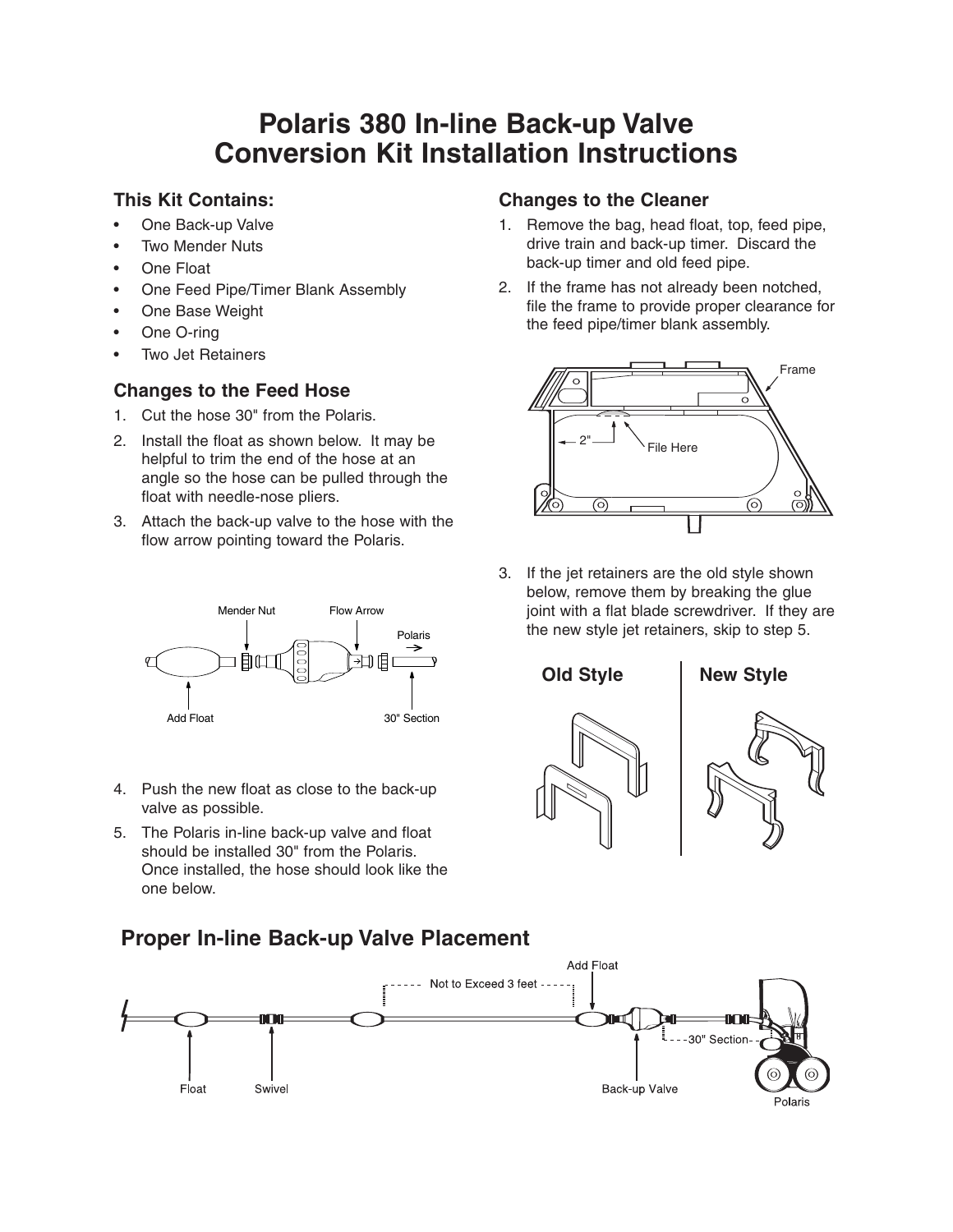# **Polaris 380 In-line Back-up Valve Conversion Kit Installation Instructions**

#### **This Kit Contains:**

- One Back-up Valve
- **Two Mender Nuts**
- **One Float**
- One Feed Pipe/Timer Blank Assembly
- One Base Weight
- One O-ring
- Two Jet Retainers

## **Changes to the Feed Hose**

- 1. Cut the hose 30" from the Polaris.
- 2. Install the float as shown below. It may be helpful to trim the end of the hose at an angle so the hose can be pulled through the float with needle-nose pliers.
- 3. Attach the back-up valve to the hose with the flow arrow pointing toward the Polaris.



- 4. Push the new float as close to the back-up valve as possible.
- 5. The Polaris in-line back-up valve and float should be installed 30" from the Polaris. Once installed, the hose should look like the one below.

# **Proper In-line Back-up Valve Placement**



### **Changes to the Cleaner**

- 1. Remove the bag, head float, top, feed pipe, drive train and back-up timer. Discard the back-up timer and old feed pipe.
- 2. If the frame has not already been notched, file the frame to provide proper clearance for the feed pipe/timer blank assembly.



3. If the jet retainers are the old style shown below, remove them by breaking the glue joint with a flat blade screwdriver. If they are the new style jet retainers, skip to step 5.